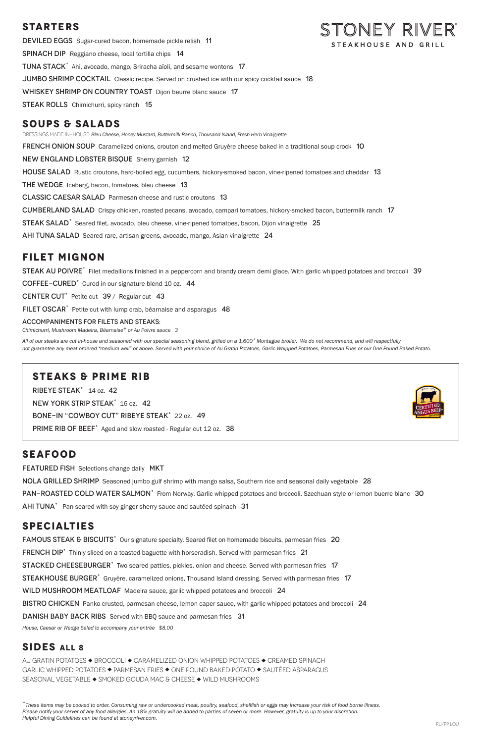## **STARTERS**

DEVILED EGGS Sugar-cured bacon, homemade pickle relish 11 Spinach DipReggiano cheese, local tortilla chips 14 TUNA STACK<sup>+</sup> Ahi, avocado, mango, Sriracha aïoli, and sesame wontons 17 **JUMBO SHRIMP COCKTAIL** Classic recipe. Served on crushed ice with our spicy cocktail sauce 18 WHISKEY SHRIMP ON COUNTRY TOAST Dijon beurre blanc sauce 17 **STEAK ROLLS** Chimichurri, spicy ranch 15

## **SOUPS & SALADS**

DRESSINGS MADE IN-HOUSE: *Bleu Cheese, Honey Mustard, Buttermilk Ranch, Thousand Island, Fresh Herb Vinaigrette* 

**FRENCH ONION SOUP** Caramelized onions, crouton and melted Gruyère cheese baked in a traditional soup crock 10

New England Lobster BisqueSherry garnish 12

HOUSE SALAD Rustic croutons, hard-boiled egg, cucumbers, hickory-smoked bacon, vine-ripened tomatoes and cheddar 13

THE WEDGE Iceberg, bacon, tomatoes, bleu cheese 13

Classic Caesar SaladParmesan cheese and rustic croutons 13

Cumberland SaladCrispy chicken, roasted pecans, avocado, campari tomatoes, hickory-smoked bacon, buttermilk ranch 17

STEAK SALAD<sup>+</sup> Seared filet, avocado, bleu cheese, vine-ripened tomatoes, bacon, Dijon vinaigrette 25

AHI TUNA SALAD Seared rare, artisan greens, avocado, mango, Asian vinaigrette 24

## **FILET MIGNON**

STEAK AU POIVRE<sup>+</sup> Filet medallions finished in a peppercorn and brandy cream demi glace. With garlic whipped potatoes and broccoli 39

COFFEE-CURED<sup>+</sup> Cured in our signature blend 10 oz. 44

CENTER CUT<sup>+</sup> Petite cut  $39/$  Regular cut 43

FILET OSCAR<sup>+</sup> Petite cut with lump crab, béarnaise and asparagus 48

#### ACCOMPANIMENTS FOR FILETS AND STEAKS:

*Chimichurri, Mushroom Madeira, Béarnaise+ or Au Poivre sauce 3* 

*All of our steaks are cut in-house and seasoned with our special seasoning blend, grilled on a 1,600° Montague broiler. We do not recommend, and will respectfully not guarantee any meat ordered "medium well" or above. Served with your choice of Au Gratin Potatoes, Garlic Whipped Potatoes, Parmesan Fries or our One Pound Baked Potato.*

## **STEAKS & PRIME RIB**

RIBEYE STEAK<sup>+</sup> 14 oz. 42

NEW YORK STRIP STEAK<sup>+</sup> 16 oz. 42

BONE-IN "COWBOY CUT" RIBEYE STEAK<sup>+</sup> 22 oz. 49

PRIME RIB OF BEEF<sup>+</sup> Aged and slow roasted - Regular cut 12 oz. 38

## **SEAFOOD**

**FEATURED FISH** Selections change daily MKT

NOLA GRILLED SHRIMP Seasoned jumbo gulf shrimp with mango salsa, Southern rice and seasonal daily vegetable 28

PAN-ROASTED COLD WATER SALMON<sup>+</sup> From Norway. Garlic whipped potatoes and broccoli. Szechuan style or lemon buerre blanc 30

AHI TUNA<sup>+</sup> Pan-seared with soy ginger sherry sauce and sautéed spinach 31

# **SPECIALTIES**

FAMOUS STEAK & BISCUITS<sup>+</sup> Our signature specialty. Seared filet on homemade biscuits, parmesan fries 20



*House, Caesar or Wedge Salad to accompany your entrée \$8.00* 

### **SIDES ALL 8**

AU GRATIN POTATOES  $\blacklozenge$  BROCCOLI  $\blacklozenge$  CARAMELIZED ONION WHIPPED POTATOES  $\blacklozenge$  CREAMED SPINACH GARLIC WHIPPED POTATOES ◆ PARMESAN FRIES ◆ ONE POUND BAKED POTATO ◆ SAUTÉED ASPARAGUS SEASONAL VEGETABLE ◆ SMOKED GOUDA MAC & CHEESE ◆ WILD MUSHROOMS

*<sup>+</sup>These items may be cooked to order. Consuming raw or undercooked meat, poultry, seafood, shellfish or eggs may increase your risk of food borne illness. Please notify your server of any food allergies. An 18% gratuity will be added to parties of seven or more. However, gratuity is up to your discretion. Helpful Dining Guidelines can be found at stoneyriver.com.*



FRENCH DIP<sup>+</sup> Thinly sliced on a toasted baguette with horseradish. Served with parmesan fries 21 STACKED CHEESEBURGER<sup>+</sup> Two seared patties, pickles, onion and cheese. Served with parmesan fries 17 STEAKHOUSE BURGER<sup>+</sup> Gruyère, caramelized onions, Thousand Island dressing. Served with parmesan fries 17 WILD MUSHROOM MEATLOAF Madeira sauce, garlic whipped potatoes and broccoli 24 BISTRO CHICKEN Panko-crusted, parmesan cheese, lemon caper sauce, with garlic whipped potatoes and broccoli 24

DANISH BABY BACK RIBS Served with BBO sauce and parmesan fries 31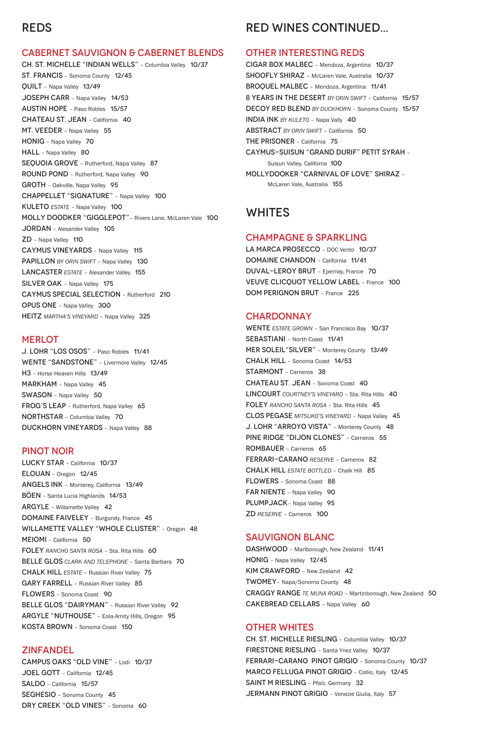## REDS

### CABERNET SAUVIGNON & CABERNET BLENDS

CH. ST. MICHELLE "INDIAN WELLS" – Columbia Valley 10/37 ST. FRANCIS – Sonoma County 12/45 QUILT – Napa Valley 13/49 JOSEPH CARR – Napa Valley 14/53 AUSTIN HOPE – Paso Robles 15/57 CHATEAU ST. JEAN – California 40 MT. VEEDER - Napa Valley 55 HONIG – Napa Valley 70 HALL - Napa Valley 80 SEQUOIA GROVE - Rutherford, Napa Valley 87 ROUND POND – Rutherford, Napa Valley 90 GROTH – Oakville, Napa Valley 95 CHAPPELLET "SIGNATURE" – Napa Valley 100 KULETO *ESTATE* – Napa Valley 100 MOLLY DOODKER "GIGGLEPOT"– Rivers Lane, McLaren Vale 100 JORDAN – Alexander Valley 105 ZD – Napa Valley 110 CAYMUS VINEYARDS – Napa Valley 115 PAPILLON *BY ORIN SWIFT* – Napa Valley 130 LANCASTER *ESTATE* – Alexander Valley 155 SILVER OAK - Napa Valley 175 CAYMUS SPECIAL SELECTION – Rutherford 210 OPUS ONE – Napa Valley 300 HEITZ *MARTHA'S VINEYARD* – Napa Valley 325

#### **MERLOT**

CAMPUS OAKS "OLD VINE" – Lodi 10/37 JOEL GOTT – California 12/45 SALDO – California 15/57 SEGHESIO – Sonoma County 45 DRY CREEK "OLD VINES" - Sonoma 60

DASHWOOD - Marlborough, New Zealand 11/41 HONIG – Napa Valley 12/45 KIM CRAWFORD - New Zealand 42 TWOMEY– Napa/Sonoma County 48 CRAGGY RANGE *TE MUNA ROAD* – Martinborough, New Zealand 50 CAKEBREAD CELLARS - Napa Valley 60

J. LOHR "LOS OSOS" – Paso Robles 11/41 WENTE "SANDSTONE" – Livermore Valley 12/45 H3 – Horse Heaven Hills 13/49 MARKHAM - Napa Valley 45 SWASON – Napa Valley 50 FROG'S LEAP – Rutherford, Napa Valley 65 NORTHSTAR – Columbia Valley 70 DUCKHORN VINEYARDS – Napa Valley 88

#### PINOT NOIR

LA MARCA PROSECCO - DOC Vento 10/37 DOMAINE CHANDON – California 11/41 DUVAL-LEROY BRUT – Epernay, France 70 VEUVE CLICQUOT YELLOW LABEL – France 100 DOM PERIGNON BRUT – France 225

#### **CHARDONNAY**

LUCKY STAR – California 10/37 ELOUAN – Oregon 12/45 ANGELS INK – Monterey, California 13/49 BÖEN – Santa Lucia Highlands 14/53 ARGYLE – Willamette Valley 42 DOMAINE FAIVELEY – Burgundy, France 45 WILLAMETTE VALLEY "WHOLE CLUSTER" - Oregon 48 MEIOMI – California 50 FOLEY *RANCHO SANTA ROSA* – Sta. Rita Hills 60 BELLE GLOS *CLARK AND TELEPHONE* – Santa Barbara 70 CHALK HILL *ESTATE –* Russian River Valley 75 GARY FARRELL – Russian River Valley 85 FLOWERS – Sonoma Coast 90 BELLE GLOS "DAIRYMAN" - Russian River Valley 92 ARGYLE "NUTHOUSE" – Eola-Amity Hills, Oregon 95 KOSTA BROWN – Sonoma Coast 150

### ZINFANDEL

## RED WINES CONTINUED...

#### OTHER INTERESTING REDS

CIGAR BOX MALBEC – Mendoza, Argentina 10/37 SHOOFLY SHIRAZ – McLaren Vale, Australia 10/37 BROQUEL MALBEC – Mendoza, Argentina 11/41 8 YEARS IN THE DESERT *BY ORIN SWIFT* – California 15/57 **DECOY RED BLEND BY DUCKHORN - Sonoma County 15/57** INDIA INK *BY KULETO* – Napa Vally 40 ABSTRACT *BY ORIN SWIFT* – California 50 THE PRISONER – California 75 CAYMUS-SUISUN "GRAND DURIF" PETIT SYRAH – Suisun Valley, Californa 100 MOLLYDOOKER "CARNIVAL OF LOVE" SHIRAZ – McLaren Vale, Australia 155

### WHITES

### CHAMPAGNE & SPARKLING

WENTE *ESTATE GROWN* – San Francisco Bay 10/37 SEBASTIANI – North Coast 11/41 MER SOLEIL"SILVER" – Monterey County 13/49 CHALK HILL – Sonoma Coast 14/53 STARMONT – Carneros 38 CHATEAU ST. JEAN – Sonoma Coast 40 LINCOURT *COURTNEY'S VINEYARD* – Sta. Rita Hills 40 FOLEY *RANCHO SANTA ROSA* – Sta. Rita Hills 45 CLOS PEGASE *MITSUKO'S VINEYARD* – Napa Valley 45 J. LOHR "ARROYO VISTA" – Monterey County 48 PINE RIDGE "DIJON CLONES" – Carneros 55 ROMBAUER – Carneros 65 FERRARI-CARANO *RESERVE* – Carneros 82 CHALK HILL *ESTATE BOTTLED* – Chalk Hill 85 FLOWERS – Sonoma Coast 88 FAR NIENTE - Napa Valley 90 PLUMPJACK - Napa Valley 95 ZD *RESERVE* – Carneros 100

### SAUVIGNON BLANC

### OTHER WHITES

CH. ST. MICHELLE RIESLING – Columbia Valley 10/37 FIRESTONE RIESLING – Santa Ynez Valley 10/37 FERRARI-CARANO PINOT GRIGIO – Sonoma County 10/37 MARCO FELLUGA PINOT GRIGIO – Collio, Italy 12/45 SAINT M RIESLING - Pfalz, Germany 32 JERMANN PINOT GRIGIO – Venezie Giulia, Italy 57